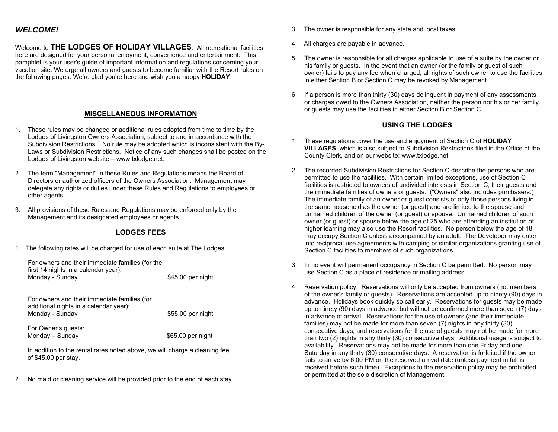# *WELCOME!*

Welcome to **THE LODGES OF HOLIDAY VILLAGES**. All recreational facilities here are designed for your personal enjoyment, convenience and entertainment. This pamphlet is your user's guide of important information and regulations concerning your vacation site. We urge all owners and guests to become familiar with the Resort rules on the following pages. We're glad you're here and wish you a happy **HOLIDAY**.

### **MISCELLANEOUS INFORMATION**

- 1. These rules may be changed or additional rules adopted from time to time by the Lodges of Livingston Owners Association, subject to and in accordance with the Subdivision Restrictions . No rule may be adopted which is inconsistent with the By-Laws or Subdivision Restrictions. Notice of any such changes shall be posted on the Lodges of Livingston website – www.txlodge.net.
- 2. The term "Management" in these Rules and Regulations means the Board of Directors or authorized officers of the Owners Association. Management may delegate any rights or duties under these Rules and Regulations to employees or other agents.
- 3. All provisions of these Rules and Regulations may be enforced only by the Management and its designated employees or agents.

#### **LODGES FEES**

1. The following rates will be charged for use of each suite at The Lodges:

For owners and their immediate families (for the first 14 nights in a calendar year): Monday - Sunday **\$45.00** per night

For owners and their immediate families (for additional nights in a calendar year): Monday - Sunday **\$55.00** per night

 For Owner's guests:  $Monday - Sunday$   $$65.00 \text{ per night}$ 

 In addition to the rental rates noted above, we will charge a cleaning fee of \$45.00 per stay.

2. No maid or cleaning service will be provided prior to the end of each stay.

- 3. The owner is responsible for any state and local taxes.
- 4. All charges are payable in advance.
- 5. The owner is responsible for all charges applicable to use of a suite by the owner or his family or guests. In the event that an owner (or the family or guest of such owner) fails to pay any fee when charged, all rights of such owner to use the facilities in either Section B or Section C may be revoked by Management.
- 6. If a person is more than thirty (30) days delinquent in payment of any assessments or charges owed to the Owners Association, neither the person nor his or her family or guests may use the facilities in either Section B or Section C.

# **USING THE LODGES**

- 1. These regulations cover the use and enjoyment of Section C of **HOLIDAY VILLAGES**, which is also subject to Subdivision Restrictions filed in the Office of the County Clerk, and on our website: www.txlodge.net.
- 2. The recorded Subdivision Restrictions for Section C describe the persons who are permitted to use the facilities. With certain limited exceptions, use of Section C facilities is restricted to owners of undivided interests in Section C, their guests and the immediate families of owners or guests. ("Owners" also includes purchasers.) The immediate family of an owner or guest consists of only those persons living in the same household as the owner (or guest) and are limited to the spouse and unmarried children of the owner (or guest) or spouse. Unmarried children of such owner (or guest) or spouse below the age of 25 who are attending an institution of higher learning may also use the Resort facilities. No person below the age of 18 may occupy Section C unless accompanied by an adult. The Developer may enter into reciprocal use agreements with camping or similar organizations granting use of Section C facilities to members of such organizations.
- 3. In no event will permanent occupancy in Section C be permitted. No person may use Section C as a place of residence or mailing address.
- 4. Reservation policy: Reservations will only be accepted from owners (not members of the owner's family or guests). Reservations are accepted up to ninety (90) days in advance. Holidays book quickly so call early. Reservations for guests may be made up to ninety (90) days in advance but will not be confirmed more than seven (7) days in advance of arrival. Reservations for the use of owners (and their immediate families) may not be made for more than seven (7) nights in any thirty (30) consecutive days, and reservations for the use of guests may not be made for more than two (2) nights in any thirty (30) consecutive days. Additional usage is subject to availability. Reservations may not be made for more than one Friday and one Saturday in any thirty (30) consecutive days. A reservation is forfeited if the owner fails to arrive by 6:00 PM on the reserved arrival date (unless payment in full is received before such time). Exceptions to the reservation policy may be prohibited or permitted at the sole discretion of Management.